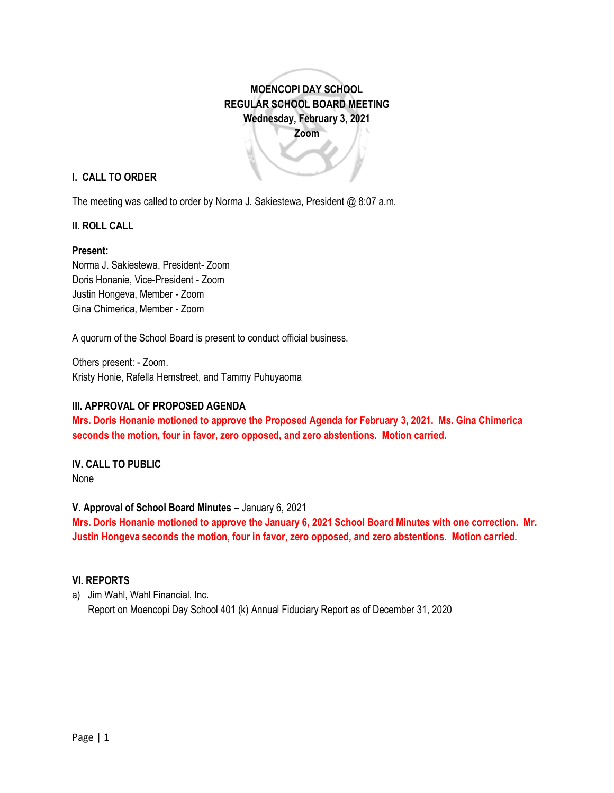**MOENCOPI DAY SCHOOL REGULAR SCHOOL BOARD MEETING Wednesday, February 3, 2021 Zoom**

### **I. CALL TO ORDER**

The meeting was called to order by Norma J. Sakiestewa, President @ 8:07 a.m.

### **II. ROLL CALL**

#### **Present:**

Norma J. Sakiestewa, President- Zoom Doris Honanie, Vice-President - Zoom Justin Hongeva, Member - Zoom Gina Chimerica, Member - Zoom

A quorum of the School Board is present to conduct official business.

Others present: - Zoom. Kristy Honie, Rafella Hemstreet, and Tammy Puhuyaoma

#### **III. APPROVAL OF PROPOSED AGENDA**

**Mrs. Doris Honanie motioned to approve the Proposed Agenda for February 3, 2021. Ms. Gina Chimerica seconds the motion, four in favor, zero opposed, and zero abstentions. Motion carried.** 

# **IV. CALL TO PUBLIC**

None

#### **V. Approval of School Board Minutes** – January 6, 2021

**Mrs. Doris Honanie motioned to approve the January 6, 2021 School Board Minutes with one correction. Mr. Justin Hongeva seconds the motion, four in favor, zero opposed, and zero abstentions. Motion carried.**

### **VI. REPORTS**

a) Jim Wahl, Wahl Financial, Inc. Report on Moencopi Day School 401 (k) Annual Fiduciary Report as of December 31, 2020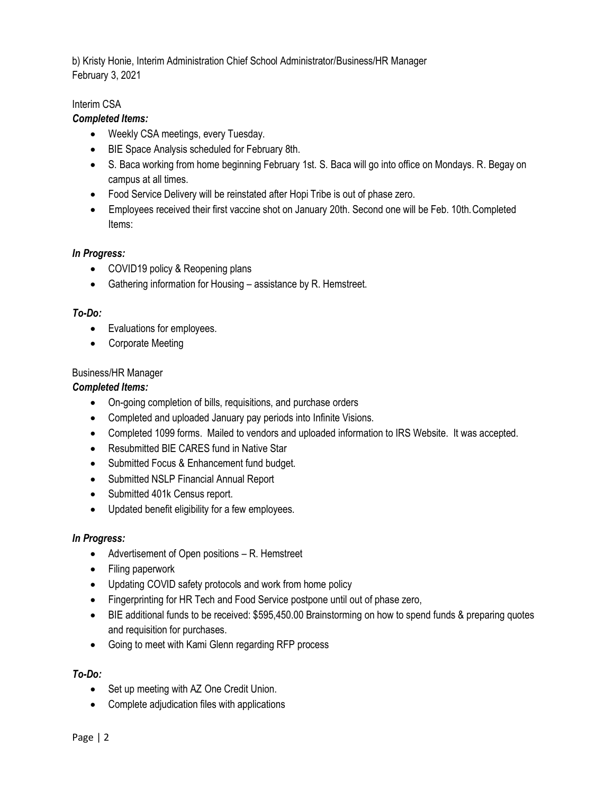b) Kristy Honie, Interim Administration Chief School Administrator/Business/HR Manager February 3, 2021

## Interim CSA

## *Completed Items:*

- Weekly CSA meetings, every Tuesday.
- BIE Space Analysis scheduled for February 8th.
- S. Baca working from home beginning February 1st. S. Baca will go into office on Mondays. R. Begay on campus at all times.
- Food Service Delivery will be reinstated after Hopi Tribe is out of phase zero.
- Employees received their first vaccine shot on January 20th. Second one will be Feb. 10th.Completed Items:

## *In Progress:*

- COVID19 policy & Reopening plans
- Gathering information for Housing assistance by R. Hemstreet.

## *To-Do:*

- Evaluations for employees.
- Corporate Meeting

## Business/HR Manager

## *Completed Items:*

- On-going completion of bills, requisitions, and purchase orders
- Completed and uploaded January pay periods into Infinite Visions.
- Completed 1099 forms. Mailed to vendors and uploaded information to IRS Website. It was accepted.
- Resubmitted BIE CARES fund in Native Star
- Submitted Focus & Enhancement fund budget.
- Submitted NSLP Financial Annual Report
- Submitted 401k Census report.
- Updated benefit eligibility for a few employees.

## *In Progress:*

- Advertisement of Open positions R. Hemstreet
- Filing paperwork
- Updating COVID safety protocols and work from home policy
- Fingerprinting for HR Tech and Food Service postpone until out of phase zero,
- BIE additional funds to be received: \$595,450.00 Brainstorming on how to spend funds & preparing quotes and requisition for purchases.
- Going to meet with Kami Glenn regarding RFP process

## *To-Do:*

- Set up meeting with AZ One Credit Union.
- Complete adjudication files with applications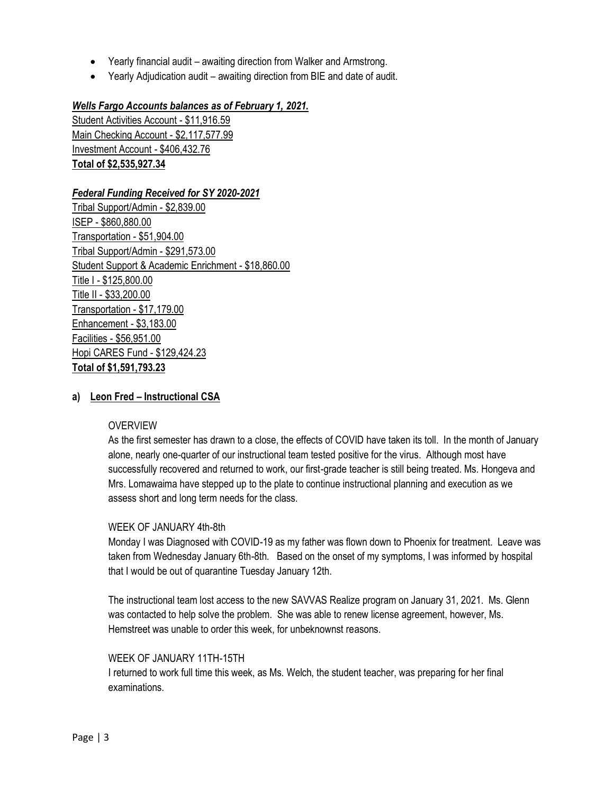- Yearly financial audit awaiting direction from Walker and Armstrong.
- Yearly Adjudication audit awaiting direction from BIE and date of audit.

### *Wells Fargo Accounts balances as of February 1, 2021.*

Student Activities Account - \$11,916.59 Main Checking Account - \$2,117,577.99 Investment Account - \$406,432.76 **Total of \$2,535,927.34**

### *Federal Funding Received for SY 2020-2021*

Tribal Support/Admin - \$2,839.00 ISEP - \$860,880.00 Transportation - \$51,904.00 Tribal Support/Admin - \$291,573.00 Student Support & Academic Enrichment - \$18,860.00 Title I - \$125,800.00 Title II - \$33,200.00 Transportation - \$17,179.00 Enhancement - \$3,183.00 Facilities - \$56,951.00 Hopi CARES Fund - \$129,424.23 **Total of \$1,591,793.23**

### **a) Leon Fred – Instructional CSA**

#### **OVERVIEW**

As the first semester has drawn to a close, the effects of COVID have taken its toll. In the month of January alone, nearly one-quarter of our instructional team tested positive for the virus. Although most have successfully recovered and returned to work, our first-grade teacher is still being treated. Ms. Hongeva and Mrs. Lomawaima have stepped up to the plate to continue instructional planning and execution as we assess short and long term needs for the class.

#### WEEK OF JANUARY 4th-8th

Monday I was Diagnosed with COVID-19 as my father was flown down to Phoenix for treatment. Leave was taken from Wednesday January 6th-8th. Based on the onset of my symptoms, I was informed by hospital that I would be out of quarantine Tuesday January 12th.

The instructional team lost access to the new SAVVAS Realize program on January 31, 2021. Ms. Glenn was contacted to help solve the problem. She was able to renew license agreement, however, Ms. Hemstreet was unable to order this week, for unbeknownst reasons.

#### WEEK OF JANUARY 11TH-15TH

I returned to work full time this week, as Ms. Welch, the student teacher, was preparing for her final examinations.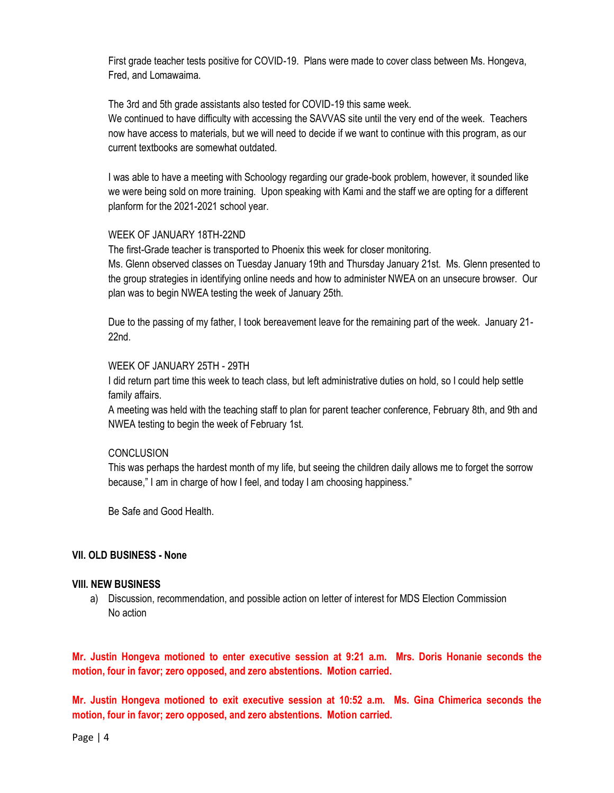First grade teacher tests positive for COVID-19. Plans were made to cover class between Ms. Hongeva, Fred, and Lomawaima.

The 3rd and 5th grade assistants also tested for COVID-19 this same week.

We continued to have difficulty with accessing the SAVVAS site until the very end of the week. Teachers now have access to materials, but we will need to decide if we want to continue with this program, as our current textbooks are somewhat outdated.

I was able to have a meeting with Schoology regarding our grade-book problem, however, it sounded like we were being sold on more training. Upon speaking with Kami and the staff we are opting for a different planform for the 2021-2021 school year.

### WEEK OF JANUARY 18TH-22ND

The first-Grade teacher is transported to Phoenix this week for closer monitoring.

Ms. Glenn observed classes on Tuesday January 19th and Thursday January 21st. Ms. Glenn presented to the group strategies in identifying online needs and how to administer NWEA on an unsecure browser. Our plan was to begin NWEA testing the week of January 25th.

Due to the passing of my father, I took bereavement leave for the remaining part of the week. January 21- 22nd.

#### WEEK OF JANUARY 25TH - 29TH

I did return part time this week to teach class, but left administrative duties on hold, so I could help settle family affairs.

A meeting was held with the teaching staff to plan for parent teacher conference, February 8th, and 9th and NWEA testing to begin the week of February 1st.

## **CONCLUSION**

This was perhaps the hardest month of my life, but seeing the children daily allows me to forget the sorrow because," I am in charge of how I feel, and today I am choosing happiness."

Be Safe and Good Health.

#### **VII. OLD BUSINESS - None**

#### **VIII. NEW BUSINESS**

a) Discussion, recommendation, and possible action on letter of interest for MDS Election Commission No action

**Mr. Justin Hongeva motioned to enter executive session at 9:21 a.m. Mrs. Doris Honanie seconds the motion, four in favor; zero opposed, and zero abstentions. Motion carried.** 

**Mr. Justin Hongeva motioned to exit executive session at 10:52 a.m. Ms. Gina Chimerica seconds the motion, four in favor; zero opposed, and zero abstentions. Motion carried.** 

Page | 4